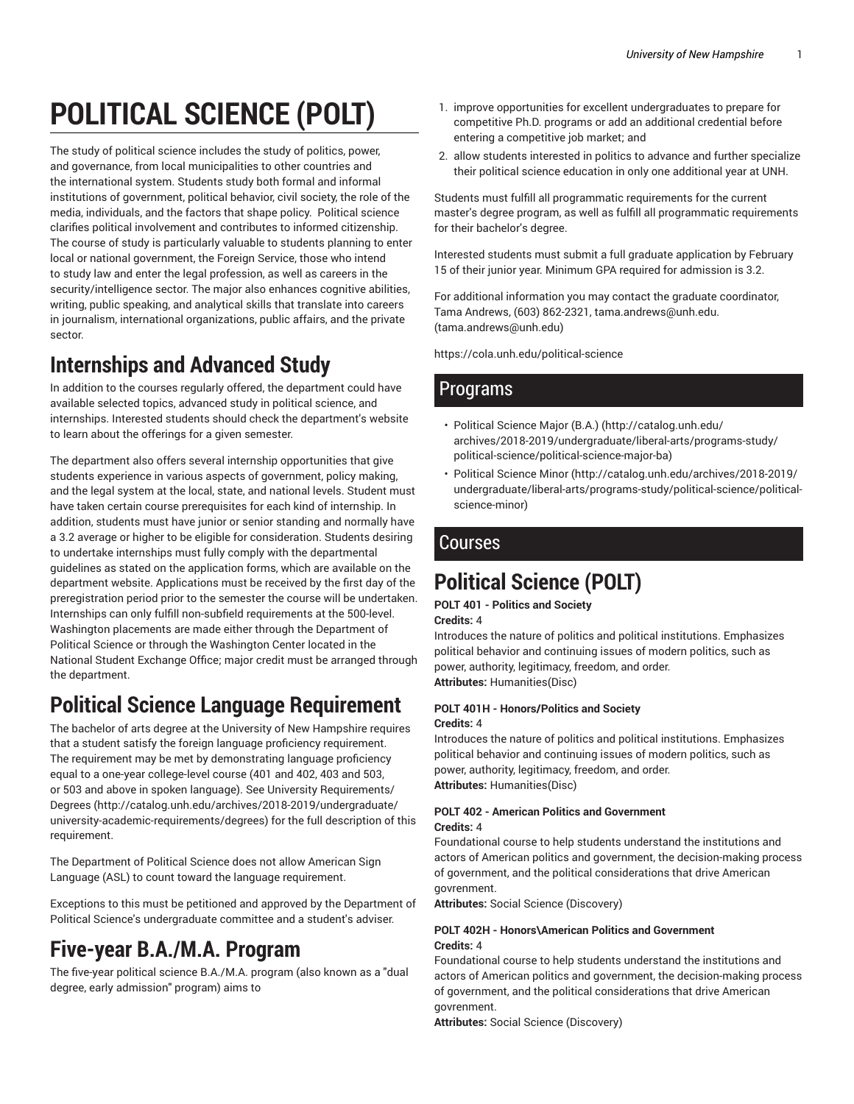# **POLITICAL SCIENCE (POLT)**

The study of political science includes the study of politics, power, and governance, from local municipalities to other countries and the international system. Students study both formal and informal institutions of government, political behavior, civil society, the role of the media, individuals, and the factors that shape policy. Political science clarifies political involvement and contributes to informed citizenship. The course of study is particularly valuable to students planning to enter local or national government, the Foreign Service, those who intend to study law and enter the legal profession, as well as careers in the security/intelligence sector. The major also enhances cognitive abilities, writing, public speaking, and analytical skills that translate into careers in journalism, international organizations, public affairs, and the private sector.

## **Internships and Advanced Study**

In addition to the courses regularly offered, the department could have available selected topics, advanced study in political science, and internships. Interested students should check the department's website to learn about the offerings for a given semester.

The department also offers several internship opportunities that give students experience in various aspects of government, policy making, and the legal system at the local, state, and national levels. Student must have taken certain course prerequisites for each kind of internship. In addition, students must have junior or senior standing and normally have a 3.2 average or higher to be eligible for consideration. Students desiring to undertake internships must fully comply with the departmental guidelines as stated on the application forms, which are available on the department website. Applications must be received by the first day of the preregistration period prior to the semester the course will be undertaken. Internships can only fulfill non-subfield requirements at the 500-level. Washington placements are made either through the Department of Political Science or through the Washington Center located in the National Student Exchange Office; major credit must be arranged through the department.

## **Political Science Language Requirement**

The bachelor of arts degree at the University of New Hampshire requires that a student satisfy the foreign language proficiency requirement. The requirement may be met by demonstrating language proficiency equal to a one-year college-level course (401 and 402, 403 and 503, or 503 and above in spoken language). See University Requirements/ Degrees (http://catalog.unh.edu/archives/2018-2019/undergraduate/ university-academic-requirements/degrees) for the full description of this requirement.

The Department of Political Science does not allow American Sign Language (ASL) to count toward the language requirement.

Exceptions to this must be petitioned and approved by the Department of Political Science's undergraduate committee and a student's adviser.

## **Five-year B.A./M.A. Program**

The five-year political science B.A./M.A. program (also known as a "dual degree, early admission" program) aims to

- 1. improve opportunities for excellent undergraduates to prepare for competitive Ph.D. programs or add an additional credential before entering a competitive job market; and
- 2. allow students interested in politics to advance and further specialize their political science education in only one additional year at UNH.

Students must fulfill all programmatic requirements for the current master's degree program, as well as fulfill all programmatic requirements for their bachelor's degree.

Interested students must submit a full graduate application by February 15 of their junior year. Minimum GPA required for admission is 3.2.

For additional information you may contact the graduate coordinator, Tama Andrews, (603) 862-2321, tama.andrews@unh.edu. (tama.andrews@unh.edu)

https://cola.unh.edu/political-science

### Programs

- Political Science Major (B.A.) (http://catalog.unh.edu/ archives/2018-2019/undergraduate/liberal-arts/programs-study/ political-science/political-science-major-ba)
- Political Science Minor (http://catalog.unh.edu/archives/2018-2019/ undergraduate/liberal-arts/programs-study/political-science/politicalscience-minor)

## **Courses**

## **Political Science (POLT)**

#### **POLT 401 - Politics and Society**

**Credits:** 4

Introduces the nature of politics and political institutions. Emphasizes political behavior and continuing issues of modern politics, such as power, authority, legitimacy, freedom, and order. **Attributes:** Humanities(Disc)

#### **POLT 401H - Honors/Politics and Society Credits:** 4

Introduces the nature of politics and political institutions. Emphasizes political behavior and continuing issues of modern politics, such as power, authority, legitimacy, freedom, and order. **Attributes:** Humanities(Disc)

#### **POLT 402 - American Politics and Government Credits:** 4

Foundational course to help students understand the institutions and actors of American politics and government, the decision-making process of government, and the political considerations that drive American govrenment.

**Attributes:** Social Science (Discovery)

#### **POLT 402H - Honors\American Politics and Government Credits:** 4

Foundational course to help students understand the institutions and actors of American politics and government, the decision-making process of government, and the political considerations that drive American govrenment.

**Attributes:** Social Science (Discovery)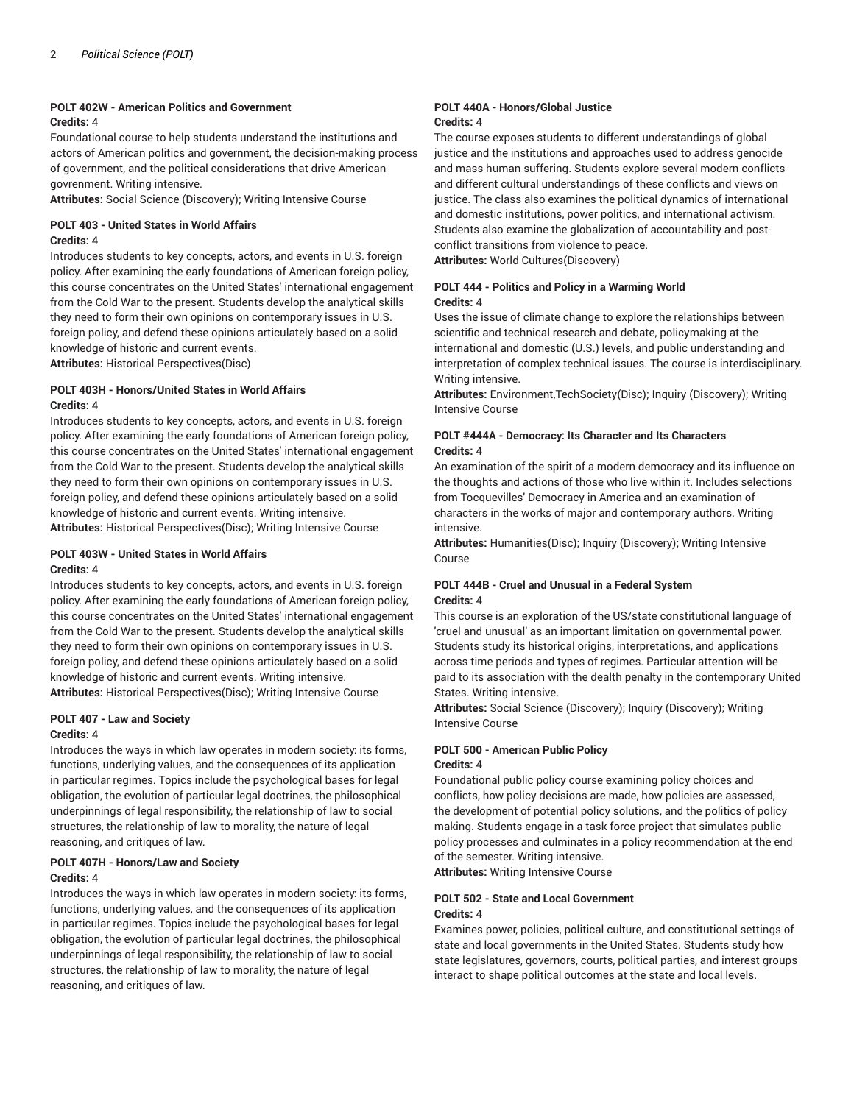#### **POLT 402W - American Politics and Government Credits:** 4

Foundational course to help students understand the institutions and actors of American politics and government, the decision-making process of government, and the political considerations that drive American govrenment. Writing intensive.

**Attributes:** Social Science (Discovery); Writing Intensive Course

#### **POLT 403 - United States in World Affairs Credits:** 4

Introduces students to key concepts, actors, and events in U.S. foreign policy. After examining the early foundations of American foreign policy, this course concentrates on the United States' international engagement from the Cold War to the present. Students develop the analytical skills they need to form their own opinions on contemporary issues in U.S. foreign policy, and defend these opinions articulately based on a solid knowledge of historic and current events.

**Attributes:** Historical Perspectives(Disc)

#### **POLT 403H - Honors/United States in World Affairs Credits:** 4

Introduces students to key concepts, actors, and events in U.S. foreign policy. After examining the early foundations of American foreign policy, this course concentrates on the United States' international engagement from the Cold War to the present. Students develop the analytical skills they need to form their own opinions on contemporary issues in U.S. foreign policy, and defend these opinions articulately based on a solid knowledge of historic and current events. Writing intensive. **Attributes:** Historical Perspectives(Disc); Writing Intensive Course

#### **POLT 403W - United States in World Affairs Credits:** 4

Introduces students to key concepts, actors, and events in U.S. foreign policy. After examining the early foundations of American foreign policy, this course concentrates on the United States' international engagement from the Cold War to the present. Students develop the analytical skills they need to form their own opinions on contemporary issues in U.S. foreign policy, and defend these opinions articulately based on a solid knowledge of historic and current events. Writing intensive. **Attributes:** Historical Perspectives(Disc); Writing Intensive Course

#### **POLT 407 - Law and Society Credits:** 4

Introduces the ways in which law operates in modern society: its forms, functions, underlying values, and the consequences of its application in particular regimes. Topics include the psychological bases for legal obligation, the evolution of particular legal doctrines, the philosophical underpinnings of legal responsibility, the relationship of law to social structures, the relationship of law to morality, the nature of legal reasoning, and critiques of law.

#### **POLT 407H - Honors/Law and Society**

#### **Credits:** 4

Introduces the ways in which law operates in modern society: its forms, functions, underlying values, and the consequences of its application in particular regimes. Topics include the psychological bases for legal obligation, the evolution of particular legal doctrines, the philosophical underpinnings of legal responsibility, the relationship of law to social structures, the relationship of law to morality, the nature of legal reasoning, and critiques of law.

#### **POLT 440A - Honors/Global Justice Credits:** 4

The course exposes students to different understandings of global justice and the institutions and approaches used to address genocide and mass human suffering. Students explore several modern conflicts and different cultural understandings of these conflicts and views on justice. The class also examines the political dynamics of international and domestic institutions, power politics, and international activism. Students also examine the globalization of accountability and postconflict transitions from violence to peace. **Attributes:** World Cultures(Discovery)

**POLT 444 - Politics and Policy in a Warming World Credits:** 4

Uses the issue of climate change to explore the relationships between scientific and technical research and debate, policymaking at the international and domestic (U.S.) levels, and public understanding and interpretation of complex technical issues. The course is interdisciplinary. Writing intensive.

**Attributes:** Environment,TechSociety(Disc); Inquiry (Discovery); Writing Intensive Course

#### **POLT #444A - Democracy: Its Character and Its Characters Credits:** 4

An examination of the spirit of a modern democracy and its influence on the thoughts and actions of those who live within it. Includes selections from Tocquevilles' Democracy in America and an examination of characters in the works of major and contemporary authors. Writing intensive.

**Attributes:** Humanities(Disc); Inquiry (Discovery); Writing Intensive Course

#### **POLT 444B - Cruel and Unusual in a Federal System Credits:** 4

This course is an exploration of the US/state constitutional language of 'cruel and unusual' as an important limitation on governmental power. Students study its historical origins, interpretations, and applications across time periods and types of regimes. Particular attention will be paid to its association with the dealth penalty in the contemporary United States. Writing intensive.

**Attributes:** Social Science (Discovery); Inquiry (Discovery); Writing Intensive Course

#### **POLT 500 - American Public Policy Credits:** 4

Foundational public policy course examining policy choices and conflicts, how policy decisions are made, how policies are assessed, the development of potential policy solutions, and the politics of policy making. Students engage in a task force project that simulates public policy processes and culminates in a policy recommendation at the end of the semester. Writing intensive.

**Attributes:** Writing Intensive Course

#### **POLT 502 - State and Local Government Credits:** 4

Examines power, policies, political culture, and constitutional settings of state and local governments in the United States. Students study how state legislatures, governors, courts, political parties, and interest groups interact to shape political outcomes at the state and local levels.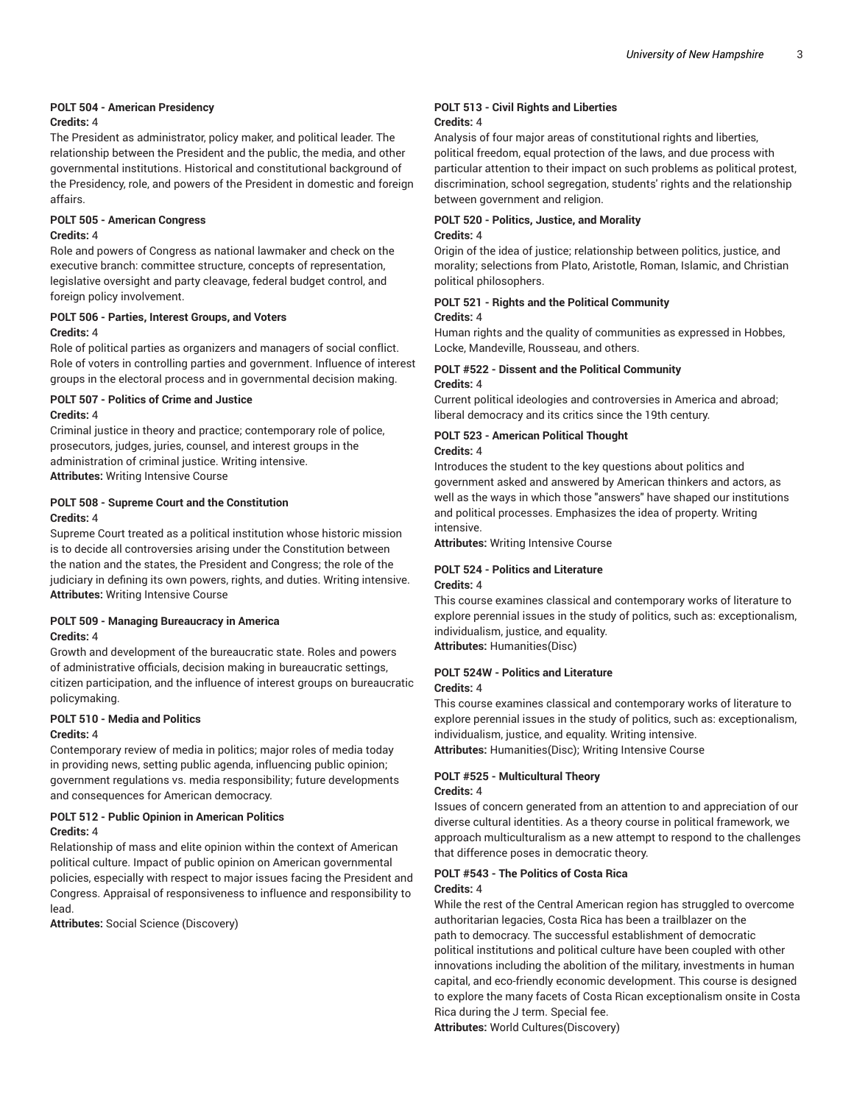#### **POLT 504 - American Presidency**

#### **Credits:** 4

The President as administrator, policy maker, and political leader. The relationship between the President and the public, the media, and other governmental institutions. Historical and constitutional background of the Presidency, role, and powers of the President in domestic and foreign affairs.

#### **POLT 505 - American Congress**

#### **Credits:** 4

Role and powers of Congress as national lawmaker and check on the executive branch: committee structure, concepts of representation, legislative oversight and party cleavage, federal budget control, and foreign policy involvement.

#### **POLT 506 - Parties, Interest Groups, and Voters Credits:** 4

Role of political parties as organizers and managers of social conflict. Role of voters in controlling parties and government. Influence of interest groups in the electoral process and in governmental decision making.

#### **POLT 507 - Politics of Crime and Justice Credits:** 4

Criminal justice in theory and practice; contemporary role of police, prosecutors, judges, juries, counsel, and interest groups in the administration of criminal justice. Writing intensive. **Attributes:** Writing Intensive Course

#### **POLT 508 - Supreme Court and the Constitution Credits:** 4

Supreme Court treated as a political institution whose historic mission is to decide all controversies arising under the Constitution between the nation and the states, the President and Congress; the role of the judiciary in defining its own powers, rights, and duties. Writing intensive. **Attributes:** Writing Intensive Course

#### **POLT 509 - Managing Bureaucracy in America Credits:** 4

Growth and development of the bureaucratic state. Roles and powers of administrative officials, decision making in bureaucratic settings, citizen participation, and the influence of interest groups on bureaucratic policymaking.

#### **POLT 510 - Media and Politics Credits:** 4

Contemporary review of media in politics; major roles of media today in providing news, setting public agenda, influencing public opinion; government regulations vs. media responsibility; future developments and consequences for American democracy.

#### **POLT 512 - Public Opinion in American Politics**

#### **Credits:** 4

Relationship of mass and elite opinion within the context of American political culture. Impact of public opinion on American governmental policies, especially with respect to major issues facing the President and Congress. Appraisal of responsiveness to influence and responsibility to lead.

**Attributes:** Social Science (Discovery)

#### **POLT 513 - Civil Rights and Liberties Credits:** 4

Analysis of four major areas of constitutional rights and liberties, political freedom, equal protection of the laws, and due process with particular attention to their impact on such problems as political protest, discrimination, school segregation, students' rights and the relationship between government and religion.

#### **POLT 520 - Politics, Justice, and Morality**

#### **Credits:** 4

Origin of the idea of justice; relationship between politics, justice, and morality; selections from Plato, Aristotle, Roman, Islamic, and Christian political philosophers.

#### **POLT 521 - Rights and the Political Community Credits:** 4

Human rights and the quality of communities as expressed in Hobbes, Locke, Mandeville, Rousseau, and others.

### **POLT #522 - Dissent and the Political Community**

#### **Credits:** 4

Current political ideologies and controversies in America and abroad; liberal democracy and its critics since the 19th century.

### **POLT 523 - American Political Thought**

#### **Credits:** 4

Introduces the student to the key questions about politics and government asked and answered by American thinkers and actors, as well as the ways in which those "answers" have shaped our institutions and political processes. Emphasizes the idea of property. Writing intensive.

**Attributes:** Writing Intensive Course

#### **POLT 524 - Politics and Literature**

#### **Credits:** 4

This course examines classical and contemporary works of literature to explore perennial issues in the study of politics, such as: exceptionalism, individualism, justice, and equality.

**Attributes:** Humanities(Disc)

#### **POLT 524W - Politics and Literature**

#### **Credits:** 4

This course examines classical and contemporary works of literature to explore perennial issues in the study of politics, such as: exceptionalism, individualism, justice, and equality. Writing intensive. **Attributes:** Humanities(Disc); Writing Intensive Course

#### **POLT #525 - Multicultural Theory**

#### **Credits:** 4

Issues of concern generated from an attention to and appreciation of our diverse cultural identities. As a theory course in political framework, we approach multiculturalism as a new attempt to respond to the challenges that difference poses in democratic theory.

### **POLT #543 - The Politics of Costa Rica**

#### **Credits:** 4

While the rest of the Central American region has struggled to overcome authoritarian legacies, Costa Rica has been a trailblazer on the path to democracy. The successful establishment of democratic political institutions and political culture have been coupled with other innovations including the abolition of the military, investments in human capital, and eco-friendly economic development. This course is designed to explore the many facets of Costa Rican exceptionalism onsite in Costa Rica during the J term. Special fee.

**Attributes:** World Cultures(Discovery)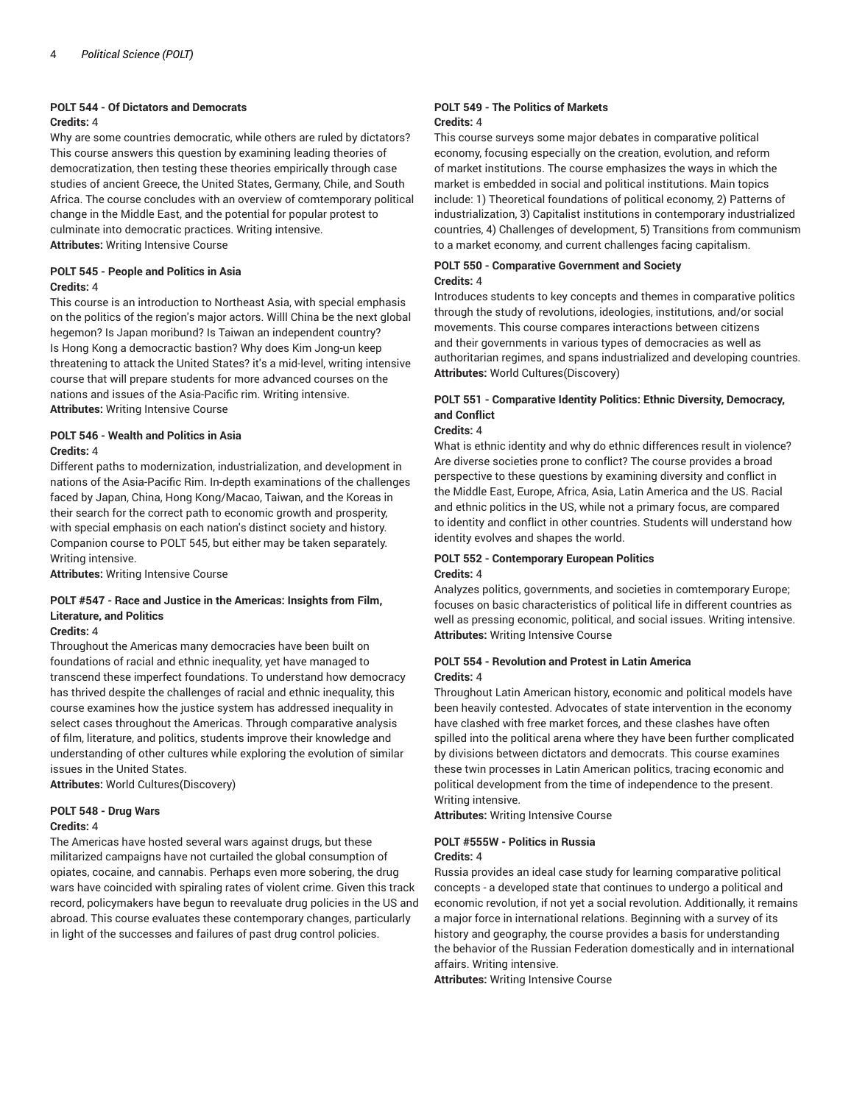### **POLT 544 - Of Dictators and Democrats**

#### **Credits:** 4

Why are some countries democratic, while others are ruled by dictators? This course answers this question by examining leading theories of democratization, then testing these theories empirically through case studies of ancient Greece, the United States, Germany, Chile, and South Africa. The course concludes with an overview of comtemporary political change in the Middle East, and the potential for popular protest to culminate into democratic practices. Writing intensive. **Attributes:** Writing Intensive Course

#### **POLT 545 - People and Politics in Asia Credits:** 4

This course is an introduction to Northeast Asia, with special emphasis on the politics of the region's major actors. Willl China be the next global hegemon? Is Japan moribund? Is Taiwan an independent country? Is Hong Kong a democractic bastion? Why does Kim Jong-un keep threatening to attack the United States? it's a mid-level, writing intensive course that will prepare students for more advanced courses on the nations and issues of the Asia-Pacific rim. Writing intensive. **Attributes:** Writing Intensive Course

#### **POLT 546 - Wealth and Politics in Asia Credits:** 4

Different paths to modernization, industrialization, and development in nations of the Asia-Pacific Rim. In-depth examinations of the challenges faced by Japan, China, Hong Kong/Macao, Taiwan, and the Koreas in their search for the correct path to economic growth and prosperity, with special emphasis on each nation's distinct society and history. Companion course to POLT 545, but either may be taken separately. Writing intensive.

**Attributes:** Writing Intensive Course

#### **POLT #547 - Race and Justice in the Americas: Insights from Film, Literature, and Politics**

#### **Credits:** 4

Throughout the Americas many democracies have been built on foundations of racial and ethnic inequality, yet have managed to transcend these imperfect foundations. To understand how democracy has thrived despite the challenges of racial and ethnic inequality, this course examines how the justice system has addressed inequality in select cases throughout the Americas. Through comparative analysis of film, literature, and politics, students improve their knowledge and understanding of other cultures while exploring the evolution of similar issues in the United States.

**Attributes:** World Cultures(Discovery)

#### **POLT 548 - Drug Wars Credits:** 4

The Americas have hosted several wars against drugs, but these militarized campaigns have not curtailed the global consumption of opiates, cocaine, and cannabis. Perhaps even more sobering, the drug wars have coincided with spiraling rates of violent crime. Given this track record, policymakers have begun to reevaluate drug policies in the US and abroad. This course evaluates these contemporary changes, particularly in light of the successes and failures of past drug control policies.

#### **POLT 549 - The Politics of Markets Credits:** 4

This course surveys some major debates in comparative political economy, focusing especially on the creation, evolution, and reform of market institutions. The course emphasizes the ways in which the market is embedded in social and political institutions. Main topics include: 1) Theoretical foundations of political economy, 2) Patterns of industrialization, 3) Capitalist institutions in contemporary industrialized countries, 4) Challenges of development, 5) Transitions from communism to a market economy, and current challenges facing capitalism.

#### **POLT 550 - Comparative Government and Society Credits:** 4

Introduces students to key concepts and themes in comparative politics through the study of revolutions, ideologies, institutions, and/or social movements. This course compares interactions between citizens and their governments in various types of democracies as well as authoritarian regimes, and spans industrialized and developing countries. **Attributes:** World Cultures(Discovery)

#### **POLT 551 - Comparative Identity Politics: Ethnic Diversity, Democracy, and Conflict**

#### **Credits:** 4

What is ethnic identity and why do ethnic differences result in violence? Are diverse societies prone to conflict? The course provides a broad perspective to these questions by examining diversity and conflict in the Middle East, Europe, Africa, Asia, Latin America and the US. Racial and ethnic politics in the US, while not a primary focus, are compared to identity and conflict in other countries. Students will understand how identity evolves and shapes the world.

#### **POLT 552 - Contemporary European Politics Credits:** 4

Analyzes politics, governments, and societies in comtemporary Europe; focuses on basic characteristics of political life in different countries as well as pressing economic, political, and social issues. Writing intensive. **Attributes:** Writing Intensive Course

#### **POLT 554 - Revolution and Protest in Latin America Credits:** 4

Throughout Latin American history, economic and political models have been heavily contested. Advocates of state intervention in the economy have clashed with free market forces, and these clashes have often spilled into the political arena where they have been further complicated by divisions between dictators and democrats. This course examines these twin processes in Latin American politics, tracing economic and political development from the time of independence to the present. Writing intensive.

**Attributes:** Writing Intensive Course

#### **POLT #555W - Politics in Russia**

#### **Credits:** 4

Russia provides an ideal case study for learning comparative political concepts - a developed state that continues to undergo a political and economic revolution, if not yet a social revolution. Additionally, it remains a major force in international relations. Beginning with a survey of its history and geography, the course provides a basis for understanding the behavior of the Russian Federation domestically and in international affairs. Writing intensive.

**Attributes:** Writing Intensive Course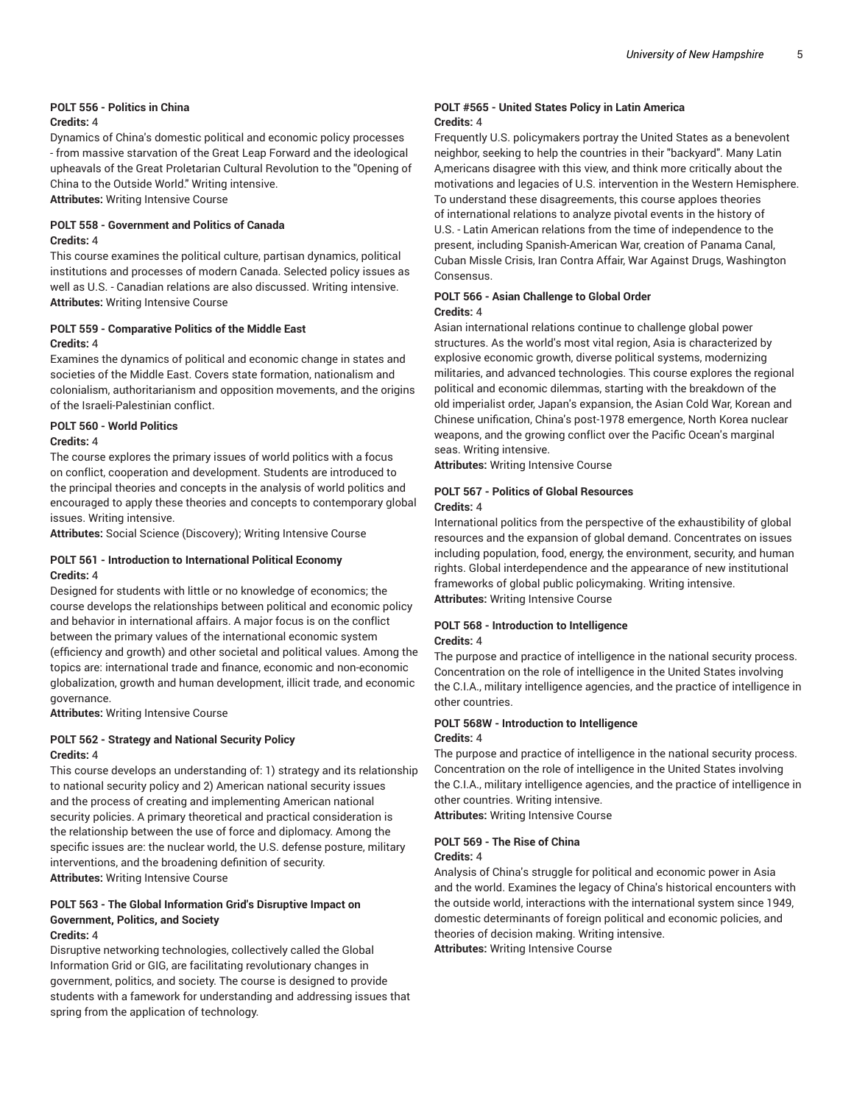#### **POLT 556 - Politics in China Credits:** 4

Dynamics of China's domestic political and economic policy processes - from massive starvation of the Great Leap Forward and the ideological upheavals of the Great Proletarian Cultural Revolution to the "Opening of China to the Outside World." Writing intensive. **Attributes:** Writing Intensive Course

**POLT 558 - Government and Politics of Canada Credits:** 4

This course examines the political culture, partisan dynamics, political institutions and processes of modern Canada. Selected policy issues as well as U.S. - Canadian relations are also discussed. Writing intensive. **Attributes:** Writing Intensive Course

#### **POLT 559 - Comparative Politics of the Middle East Credits:** 4

Examines the dynamics of political and economic change in states and societies of the Middle East. Covers state formation, nationalism and colonialism, authoritarianism and opposition movements, and the origins of the Israeli-Palestinian conflict.

#### **POLT 560 - World Politics**

#### **Credits:** 4

The course explores the primary issues of world politics with a focus on conflict, cooperation and development. Students are introduced to the principal theories and concepts in the analysis of world politics and encouraged to apply these theories and concepts to contemporary global issues. Writing intensive.

**Attributes:** Social Science (Discovery); Writing Intensive Course

#### **POLT 561 - Introduction to International Political Economy Credits:** 4

Designed for students with little or no knowledge of economics; the course develops the relationships between political and economic policy and behavior in international affairs. A major focus is on the conflict between the primary values of the international economic system (efficiency and growth) and other societal and political values. Among the topics are: international trade and finance, economic and non-economic globalization, growth and human development, illicit trade, and economic governance.

**Attributes:** Writing Intensive Course

#### **POLT 562 - Strategy and National Security Policy Credits:** 4

This course develops an understanding of: 1) strategy and its relationship to national security policy and 2) American national security issues and the process of creating and implementing American national security policies. A primary theoretical and practical consideration is the relationship between the use of force and diplomacy. Among the specific issues are: the nuclear world, the U.S. defense posture, military interventions, and the broadening definition of security. **Attributes:** Writing Intensive Course

#### **POLT 563 - The Global Information Grid's Disruptive Impact on Government, Politics, and Society Credits:** 4

Disruptive networking technologies, collectively called the Global Information Grid or GIG, are facilitating revolutionary changes in government, politics, and society. The course is designed to provide students with a famework for understanding and addressing issues that spring from the application of technology.

#### **POLT #565 - United States Policy in Latin America Credits:** 4

Frequently U.S. policymakers portray the United States as a benevolent neighbor, seeking to help the countries in their "backyard". Many Latin A,mericans disagree with this view, and think more critically about the motivations and legacies of U.S. intervention in the Western Hemisphere. To understand these disagreements, this course apploes theories of international relations to analyze pivotal events in the history of U.S. - Latin American relations from the time of independence to the present, including Spanish-American War, creation of Panama Canal, Cuban Missle Crisis, Iran Contra Affair, War Against Drugs, Washington Consensus.

#### **POLT 566 - Asian Challenge to Global Order Credits:** 4

Asian international relations continue to challenge global power structures. As the world's most vital region, Asia is characterized by explosive economic growth, diverse political systems, modernizing militaries, and advanced technologies. This course explores the regional political and economic dilemmas, starting with the breakdown of the old imperialist order, Japan's expansion, the Asian Cold War, Korean and Chinese unification, China's post-1978 emergence, North Korea nuclear weapons, and the growing conflict over the Pacific Ocean's marginal seas. Writing intensive.

**Attributes:** Writing Intensive Course

#### **POLT 567 - Politics of Global Resources Credits:** 4

International politics from the perspective of the exhaustibility of global resources and the expansion of global demand. Concentrates on issues including population, food, energy, the environment, security, and human rights. Global interdependence and the appearance of new institutional frameworks of global public policymaking. Writing intensive. **Attributes:** Writing Intensive Course

#### **POLT 568 - Introduction to Intelligence Credits:** 4

The purpose and practice of intelligence in the national security process. Concentration on the role of intelligence in the United States involving the C.I.A., military intelligence agencies, and the practice of intelligence in other countries.

#### **POLT 568W - Introduction to Intelligence Credits:** 4

The purpose and practice of intelligence in the national security process. Concentration on the role of intelligence in the United States involving the C.I.A., military intelligence agencies, and the practice of intelligence in other countries. Writing intensive.

**Attributes:** Writing Intensive Course

#### **POLT 569 - The Rise of China**

#### **Credits:** 4

Analysis of China's struggle for political and economic power in Asia and the world. Examines the legacy of China's historical encounters with the outside world, interactions with the international system since 1949, domestic determinants of foreign political and economic policies, and theories of decision making. Writing intensive.

**Attributes:** Writing Intensive Course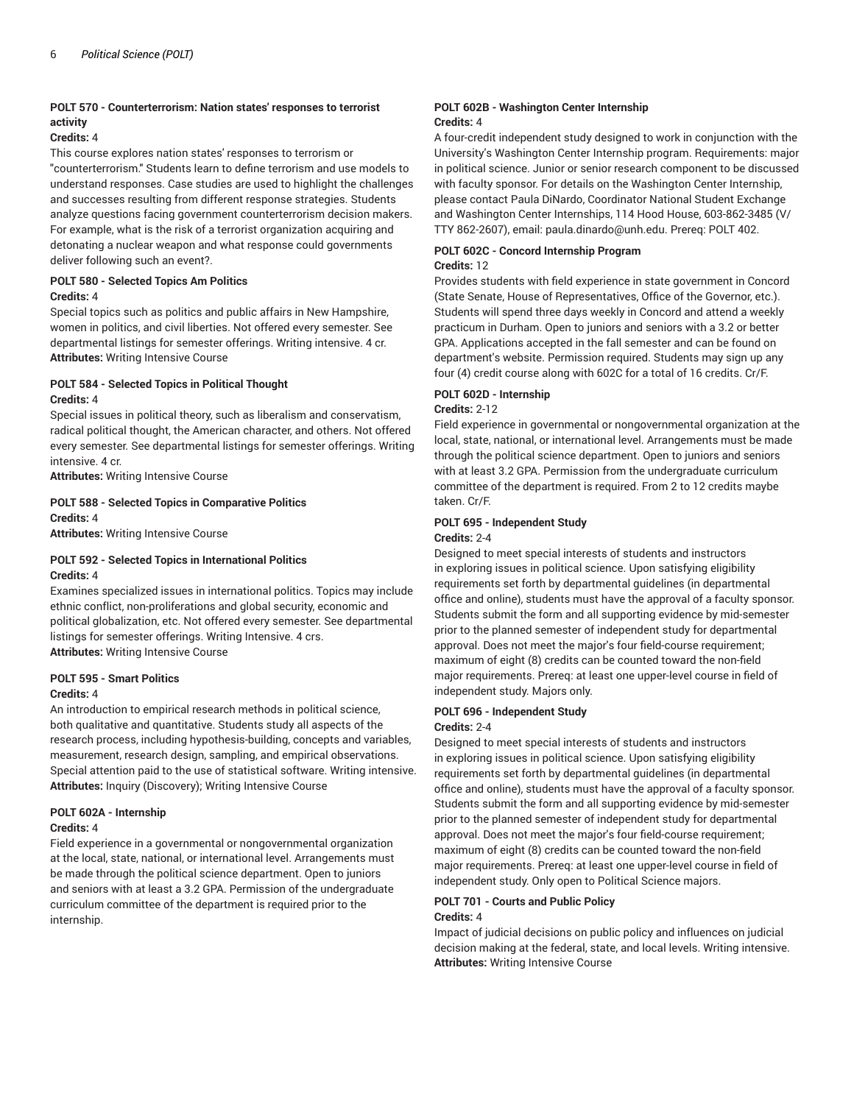#### **POLT 570 - Counterterrorism: Nation states' responses to terrorist activity**

#### **Credits:** 4

This course explores nation states' responses to terrorism or "counterterrorism." Students learn to define terrorism and use models to understand responses. Case studies are used to highlight the challenges and successes resulting from different response strategies. Students analyze questions facing government counterterrorism decision makers. For example, what is the risk of a terrorist organization acquiring and detonating a nuclear weapon and what response could governments deliver following such an event?.

#### **POLT 580 - Selected Topics Am Politics**

#### **Credits:** 4

Special topics such as politics and public affairs in New Hampshire, women in politics, and civil liberties. Not offered every semester. See departmental listings for semester offerings. Writing intensive. 4 cr. **Attributes:** Writing Intensive Course

#### **POLT 584 - Selected Topics in Political Thought Credits:** 4

Special issues in political theory, such as liberalism and conservatism, radical political thought, the American character, and others. Not offered every semester. See departmental listings for semester offerings. Writing intensive. 4 cr.

**Attributes:** Writing Intensive Course

#### **POLT 588 - Selected Topics in Comparative Politics Credits:** 4

**Attributes:** Writing Intensive Course

#### **POLT 592 - Selected Topics in International Politics Credits:** 4

Examines specialized issues in international politics. Topics may include ethnic conflict, non-proliferations and global security, economic and political globalization, etc. Not offered every semester. See departmental listings for semester offerings. Writing Intensive. 4 crs. **Attributes:** Writing Intensive Course

#### **POLT 595 - Smart Politics**

#### **Credits:** 4

An introduction to empirical research methods in political science, both qualitative and quantitative. Students study all aspects of the research process, including hypothesis-building, concepts and variables, measurement, research design, sampling, and empirical observations. Special attention paid to the use of statistical software. Writing intensive. **Attributes:** Inquiry (Discovery); Writing Intensive Course

#### **POLT 602A - Internship**

#### **Credits:** 4

Field experience in a governmental or nongovernmental organization at the local, state, national, or international level. Arrangements must be made through the political science department. Open to juniors and seniors with at least a 3.2 GPA. Permission of the undergraduate curriculum committee of the department is required prior to the internship.

#### **POLT 602B - Washington Center Internship Credits:** 4

A four-credit independent study designed to work in conjunction with the University's Washington Center Internship program. Requirements: major in political science. Junior or senior research component to be discussed with faculty sponsor. For details on the Washington Center Internship, please contact Paula DiNardo, Coordinator National Student Exchange and Washington Center Internships, 114 Hood House, 603-862-3485 (V/ TTY 862-2607), email: paula.dinardo@unh.edu. Prereq: POLT 402.

#### **POLT 602C - Concord Internship Program Credits:** 12

Provides students with field experience in state government in Concord (State Senate, House of Representatives, Office of the Governor, etc.). Students will spend three days weekly in Concord and attend a weekly practicum in Durham. Open to juniors and seniors with a 3.2 or better GPA. Applications accepted in the fall semester and can be found on department's website. Permission required. Students may sign up any four (4) credit course along with 602C for a total of 16 credits. Cr/F.

#### **POLT 602D - Internship**

#### **Credits:** 2-12

Field experience in governmental or nongovernmental organization at the local, state, national, or international level. Arrangements must be made through the political science department. Open to juniors and seniors with at least 3.2 GPA. Permission from the undergraduate curriculum committee of the department is required. From 2 to 12 credits maybe taken. Cr/F.

#### **POLT 695 - Independent Study**

#### **Credits:** 2-4

Designed to meet special interests of students and instructors in exploring issues in political science. Upon satisfying eligibility requirements set forth by departmental guidelines (in departmental office and online), students must have the approval of a faculty sponsor. Students submit the form and all supporting evidence by mid-semester prior to the planned semester of independent study for departmental approval. Does not meet the major's four field-course requirement; maximum of eight (8) credits can be counted toward the non-field major requirements. Prereq: at least one upper-level course in field of independent study. Majors only.

### **POLT 696 - Independent Study**

#### **Credits:** 2-4

Designed to meet special interests of students and instructors in exploring issues in political science. Upon satisfying eligibility requirements set forth by departmental guidelines (in departmental office and online), students must have the approval of a faculty sponsor. Students submit the form and all supporting evidence by mid-semester prior to the planned semester of independent study for departmental approval. Does not meet the major's four field-course requirement; maximum of eight (8) credits can be counted toward the non-field major requirements. Prereq: at least one upper-level course in field of independent study. Only open to Political Science majors.

#### **POLT 701 - Courts and Public Policy Credits:** 4

Impact of judicial decisions on public policy and influences on judicial decision making at the federal, state, and local levels. Writing intensive. **Attributes:** Writing Intensive Course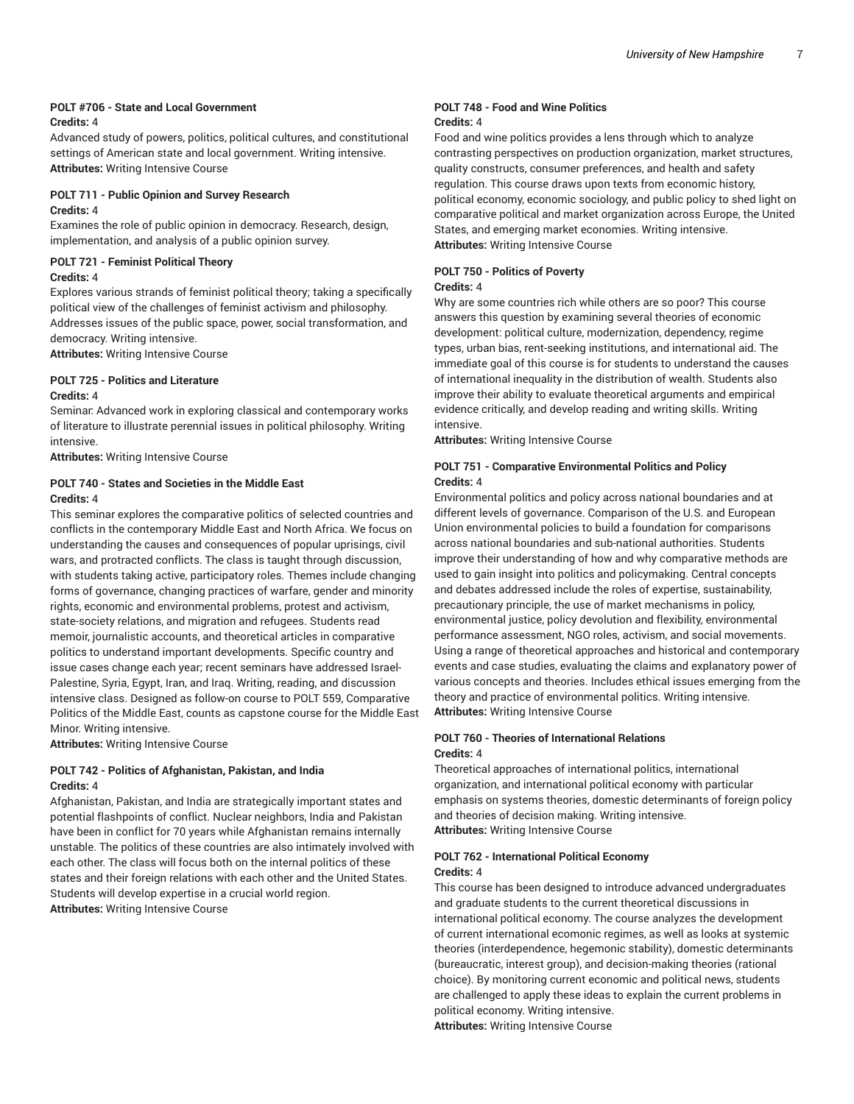#### **POLT #706 - State and Local Government Credits:** 4

Advanced study of powers, politics, political cultures, and constitutional settings of American state and local government. Writing intensive. **Attributes:** Writing Intensive Course

#### **POLT 711 - Public Opinion and Survey Research**

#### **Credits:** 4

Examines the role of public opinion in democracy. Research, design, implementation, and analysis of a public opinion survey.

#### **POLT 721 - Feminist Political Theory**

#### **Credits:** 4

Explores various strands of feminist political theory; taking a specifically political view of the challenges of feminist activism and philosophy. Addresses issues of the public space, power, social transformation, and democracy. Writing intensive.

**Attributes:** Writing Intensive Course

#### **POLT 725 - Politics and Literature Credits:** 4

Seminar: Advanced work in exploring classical and contemporary works of literature to illustrate perennial issues in political philosophy. Writing intensive.

**Attributes:** Writing Intensive Course

#### **POLT 740 - States and Societies in the Middle East Credits:** 4

This seminar explores the comparative politics of selected countries and conflicts in the contemporary Middle East and North Africa. We focus on understanding the causes and consequences of popular uprisings, civil wars, and protracted conflicts. The class is taught through discussion, with students taking active, participatory roles. Themes include changing forms of governance, changing practices of warfare, gender and minority rights, economic and environmental problems, protest and activism, state-society relations, and migration and refugees. Students read memoir, journalistic accounts, and theoretical articles in comparative politics to understand important developments. Specific country and issue cases change each year; recent seminars have addressed Israel-Palestine, Syria, Egypt, Iran, and Iraq. Writing, reading, and discussion intensive class. Designed as follow-on course to POLT 559, Comparative Politics of the Middle East, counts as capstone course for the Middle East Minor. Writing intensive.

**Attributes:** Writing Intensive Course

#### **POLT 742 - Politics of Afghanistan, Pakistan, and India Credits:** 4

Afghanistan, Pakistan, and India are strategically important states and potential flashpoints of conflict. Nuclear neighbors, India and Pakistan have been in conflict for 70 years while Afghanistan remains internally unstable. The politics of these countries are also intimately involved with each other. The class will focus both on the internal politics of these states and their foreign relations with each other and the United States. Students will develop expertise in a crucial world region. **Attributes:** Writing Intensive Course

#### **POLT 748 - Food and Wine Politics Credits:** 4

Food and wine politics provides a lens through which to analyze contrasting perspectives on production organization, market structures, quality constructs, consumer preferences, and health and safety regulation. This course draws upon texts from economic history, political economy, economic sociology, and public policy to shed light on comparative political and market organization across Europe, the United States, and emerging market economies. Writing intensive. **Attributes:** Writing Intensive Course

## **POLT 750 - Politics of Poverty**

#### **Credits:** 4

Why are some countries rich while others are so poor? This course answers this question by examining several theories of economic development: political culture, modernization, dependency, regime types, urban bias, rent-seeking institutions, and international aid. The immediate goal of this course is for students to understand the causes of international inequality in the distribution of wealth. Students also improve their ability to evaluate theoretical arguments and empirical evidence critically, and develop reading and writing skills. Writing intensive.

**Attributes:** Writing Intensive Course

#### **POLT 751 - Comparative Environmental Politics and Policy Credits:** 4

Environmental politics and policy across national boundaries and at different levels of governance. Comparison of the U.S. and European Union environmental policies to build a foundation for comparisons across national boundaries and sub-national authorities. Students improve their understanding of how and why comparative methods are used to gain insight into politics and policymaking. Central concepts and debates addressed include the roles of expertise, sustainability, precautionary principle, the use of market mechanisms in policy, environmental justice, policy devolution and flexibility, environmental performance assessment, NGO roles, activism, and social movements. Using a range of theoretical approaches and historical and contemporary events and case studies, evaluating the claims and explanatory power of various concepts and theories. Includes ethical issues emerging from the theory and practice of environmental politics. Writing intensive. **Attributes:** Writing Intensive Course

#### **POLT 760 - Theories of International Relations Credits:** 4

Theoretical approaches of international politics, international organization, and international political economy with particular emphasis on systems theories, domestic determinants of foreign policy and theories of decision making. Writing intensive. **Attributes:** Writing Intensive Course

#### **POLT 762 - International Political Economy Credits:** 4

This course has been designed to introduce advanced undergraduates and graduate students to the current theoretical discussions in international political economy. The course analyzes the development of current international ecomonic regimes, as well as looks at systemic theories (interdependence, hegemonic stability), domestic determinants (bureaucratic, interest group), and decision-making theories (rational choice). By monitoring current economic and political news, students are challenged to apply these ideas to explain the current problems in political economy. Writing intensive.

**Attributes:** Writing Intensive Course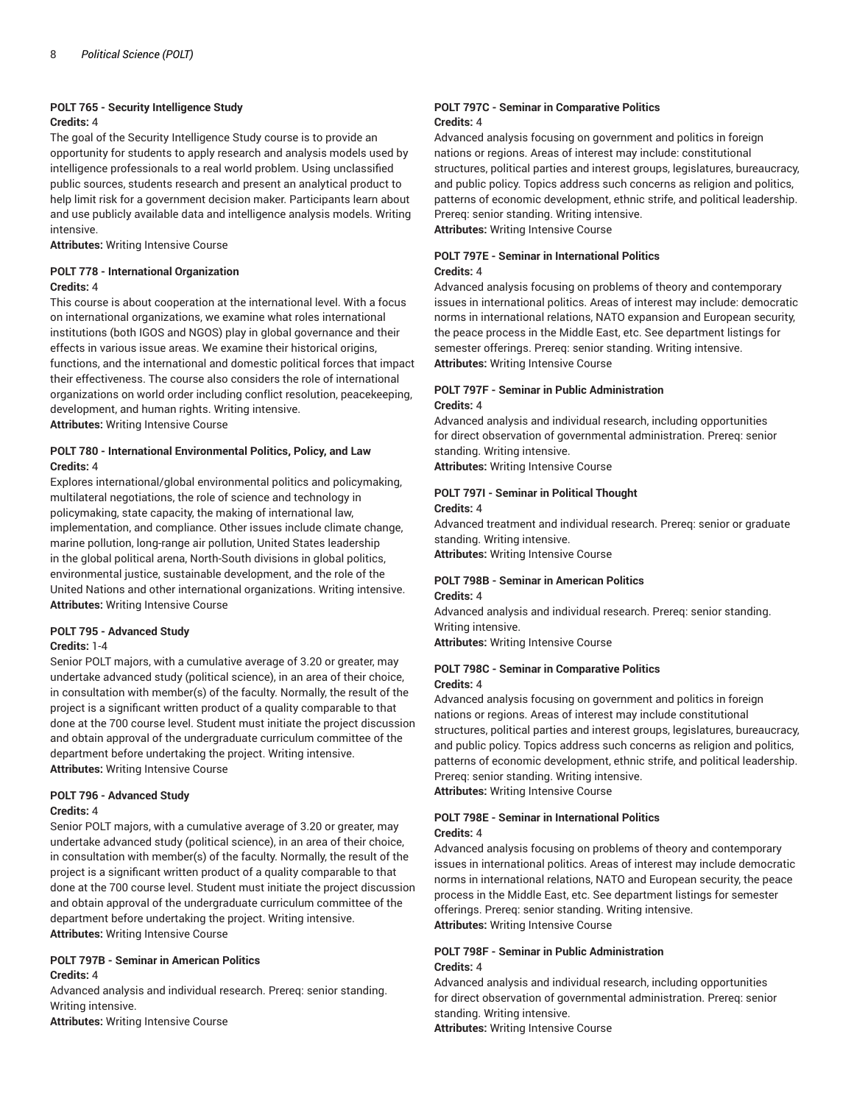#### **POLT 765 - Security Intelligence Study Credits:** 4

The goal of the Security Intelligence Study course is to provide an opportunity for students to apply research and analysis models used by intelligence professionals to a real world problem. Using unclassified public sources, students research and present an analytical product to help limit risk for a government decision maker. Participants learn about and use publicly available data and intelligence analysis models. Writing intensive.

**Attributes:** Writing Intensive Course

#### **POLT 778 - International Organization Credits:** 4

This course is about cooperation at the international level. With a focus on international organizations, we examine what roles international institutions (both IGOS and NGOS) play in global governance and their effects in various issue areas. We examine their historical origins, functions, and the international and domestic political forces that impact their effectiveness. The course also considers the role of international organizations on world order including conflict resolution, peacekeeping, development, and human rights. Writing intensive. **Attributes:** Writing Intensive Course

#### **POLT 780 - International Environmental Politics, Policy, and Law Credits:** 4

Explores international/global environmental politics and policymaking, multilateral negotiations, the role of science and technology in policymaking, state capacity, the making of international law, implementation, and compliance. Other issues include climate change, marine pollution, long-range air pollution, United States leadership in the global political arena, North-South divisions in global politics, environmental justice, sustainable development, and the role of the United Nations and other international organizations. Writing intensive. **Attributes:** Writing Intensive Course

#### **POLT 795 - Advanced Study**

#### **Credits:** 1-4

Senior POLT majors, with a cumulative average of 3.20 or greater, may undertake advanced study (political science), in an area of their choice, in consultation with member(s) of the faculty. Normally, the result of the project is a significant written product of a quality comparable to that done at the 700 course level. Student must initiate the project discussion and obtain approval of the undergraduate curriculum committee of the department before undertaking the project. Writing intensive. **Attributes:** Writing Intensive Course

#### **POLT 796 - Advanced Study**

#### **Credits:** 4

Senior POLT majors, with a cumulative average of 3.20 or greater, may undertake advanced study (political science), in an area of their choice, in consultation with member(s) of the faculty. Normally, the result of the project is a significant written product of a quality comparable to that done at the 700 course level. Student must initiate the project discussion and obtain approval of the undergraduate curriculum committee of the department before undertaking the project. Writing intensive. **Attributes:** Writing Intensive Course

#### **POLT 797B - Seminar in American Politics Credits:** 4

Advanced analysis and individual research. Prereq: senior standing. Writing intensive.

**Attributes:** Writing Intensive Course

#### **POLT 797C - Seminar in Comparative Politics Credits:** 4

Advanced analysis focusing on government and politics in foreign nations or regions. Areas of interest may include: constitutional structures, political parties and interest groups, legislatures, bureaucracy, and public policy. Topics address such concerns as religion and politics, patterns of economic development, ethnic strife, and political leadership. Prereq: senior standing. Writing intensive. **Attributes:** Writing Intensive Course

**POLT 797E - Seminar in International Politics Credits:** 4

Advanced analysis focusing on problems of theory and contemporary issues in international politics. Areas of interest may include: democratic norms in international relations, NATO expansion and European security, the peace process in the Middle East, etc. See department listings for semester offerings. Prereq: senior standing. Writing intensive. **Attributes:** Writing Intensive Course

#### **POLT 797F - Seminar in Public Administration Credits:** 4

Advanced analysis and individual research, including opportunities for direct observation of governmental administration. Prereq: senior standing. Writing intensive.

**Attributes:** Writing Intensive Course

#### **POLT 797I - Seminar in Political Thought Credits:** 4

Advanced treatment and individual research. Prereq: senior or graduate standing. Writing intensive. **Attributes:** Writing Intensive Course

#### **POLT 798B - Seminar in American Politics Credits:** 4

Advanced analysis and individual research. Prereq: senior standing. Writing intensive.

**Attributes:** Writing Intensive Course

#### **POLT 798C - Seminar in Comparative Politics Credits:** 4

Advanced analysis focusing on government and politics in foreign nations or regions. Areas of interest may include constitutional structures, political parties and interest groups, legislatures, bureaucracy, and public policy. Topics address such concerns as religion and politics, patterns of economic development, ethnic strife, and political leadership. Prereq: senior standing. Writing intensive.

**Attributes:** Writing Intensive Course

#### **POLT 798E - Seminar in International Politics Credits:** 4

Advanced analysis focusing on problems of theory and contemporary issues in international politics. Areas of interest may include democratic norms in international relations, NATO and European security, the peace process in the Middle East, etc. See department listings for semester offerings. Prereq: senior standing. Writing intensive. **Attributes:** Writing Intensive Course

#### **POLT 798F - Seminar in Public Administration Credits:** 4

Advanced analysis and individual research, including opportunities for direct observation of governmental administration. Prereq: senior standing. Writing intensive. **Attributes:** Writing Intensive Course